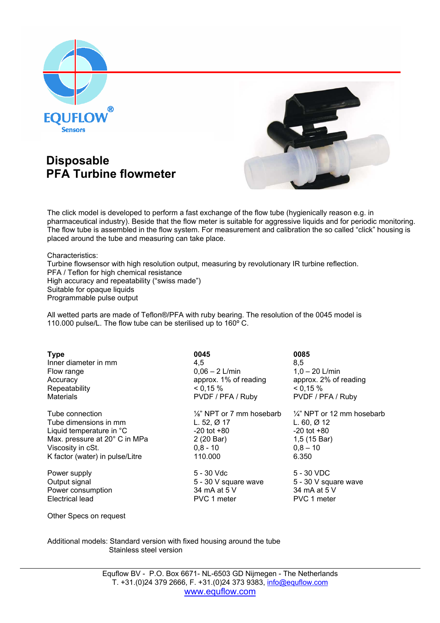

## **Disposable PFA Turbine flowmeter**



The click model is developed to perform a fast exchange of the flow tube (hygienically reason e.g. in pharmaceutical industry). Beside that the flow meter is suitable for aggressive liquids and for periodic monitoring. The flow tube is assembled in the flow system. For measurement and calibration the so called "click" housing is placed around the tube and measuring can take place.

 Characteristics: Turbine flowsensor with high resolution output, measuring by revolutionary IR turbine reflection. PFA / Teflon for high chemical resistance High accuracy and repeatability ("swiss made") Suitable for opaque liquids Programmable pulse output

 All wetted parts are made of Teflon®/PFA with ruby bearing. The resolution of the 0045 model is 110.000 pulse/L. The flow tube can be sterilised up to 160º C.

**Type 0045 0085** Inner diameter in mm 4,5 8,5 Flow range 0,06 – 2 L/min 1,0 – 20 L/min Accuracy approx. 1% of reading approx. 2% of reading Repeatability  $\leq 0.15\%$   $\leq 0.15\%$ Materials Materials PVDF / PFA / Ruby PVDF / PFA / Ruby

Tube dimensions in mm L. 52, Ø 17 L. 60, Ø 12 Liquid temperature in  ${}^{\circ}$ C  ${}^{-20}$  tot +80  ${}^{-20}$  tot +80  ${}^{-20}$  tot +80 Max. pressure at 20 $^{\circ}$  C in MPa 2 (20 Bar)  $1,5$  (15 Bar) Viscosity in cSt.  $0.8 - 10$  0,8 – 10 0,8 – 10 K factor (water) in pulse/Litre 110.000 6.350

Electrical lead

Tube connection  $\frac{1}{8}$  NPT or 7 mm hosebarb  $\frac{1}{4}$  NPT or 12 mm hosebarb

Power supply **EXECUTE:** The Second S - 30 Vdc 5 - 30 VDC Output signal 5 - 30 V square wave 5 - 30 V square wave Power consumption 34 mA at 5 V 34 mA at 5 V<br>Electrical lead PVC 1 meter PVC 1 meter

Other Specs on request

Additional models: Standard version with fixed housing around the tube Stainless steel version